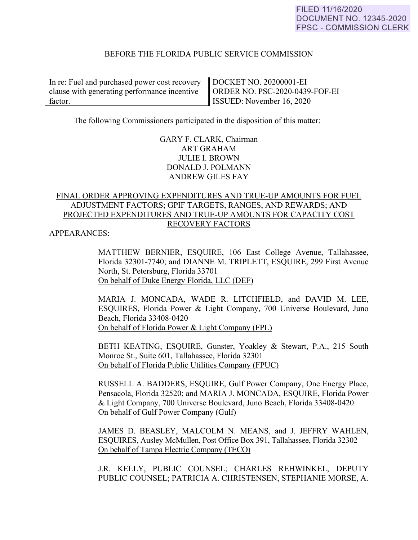# BEFORE THE FLORIDA PUBLIC SERVICE COMMISSION

In re: Fuel and purchased power cost recovery clause with generating performance incentive factor.

DOCKET NO. 20200001-EI ORDER NO. PSC-2020-0439-FOF-EI ISSUED: November 16, 2020

The following Commissioners participated in the disposition of this matter:

# GARY F. CLARK, Chairman ART GRAHAM JULIE I. BROWN DONALD J. POLMANN ANDREW GILES FAY

# FINAL ORDER APPROVING EXPENDITURES AND TRUE-UP AMOUNTS FOR FUEL ADJUSTMENT FACTORS; GPIF TARGETS, RANGES, AND REWARDS; AND PROJECTED EXPENDITURES AND TRUE-UP AMOUNTS FOR CAPACITY COST RECOVERY FACTORS

APPEARANCES:

MATTHEW BERNIER, ESQUIRE, 106 East College Avenue, Tallahassee, Florida 32301-7740; and DIANNE M. TRIPLETT, ESQUIRE, 299 First Avenue North, St. Petersburg, Florida 33701 On behalf of Duke Energy Florida, LLC (DEF)

MARIA J. MONCADA, WADE R. LITCHFIELD, and DAVID M. LEE, ESQUIRES, Florida Power & Light Company, 700 Universe Boulevard, Juno Beach, Florida 33408-0420 On behalf of Florida Power & Light Company (FPL)

BETH KEATING, ESQUIRE, Gunster, Yoakley & Stewart, P.A., 215 South Monroe St., Suite 601, Tallahassee, Florida 32301 On behalf of Florida Public Utilities Company (FPUC)

 RUSSELL A. BADDERS, ESQUIRE, Gulf Power Company, One Energy Place, Pensacola, Florida 32520; and MARIA J. MONCADA, ESQUIRE, Florida Power & Light Company, 700 Universe Boulevard, Juno Beach, Florida 33408-0420 On behalf of Gulf Power Company (Gulf)

 JAMES D. BEASLEY, MALCOLM N. MEANS, and J. JEFFRY WAHLEN, ESQUIRES, Ausley McMullen, Post Office Box 391, Tallahassee, Florida 32302 On behalf of Tampa Electric Company (TECO)

 J.R. KELLY, PUBLIC COUNSEL; CHARLES REHWINKEL, DEPUTY PUBLIC COUNSEL; PATRICIA A. CHRISTENSEN, STEPHANIE MORSE, A.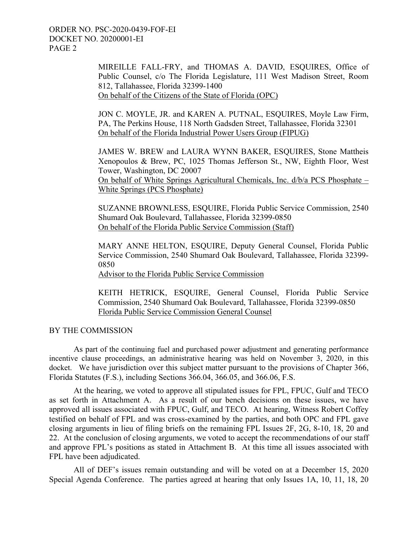ORDER NO. PSC-2020-0439-FOF-EI DOCKET NO. 20200001-EI PAGE 2

> MIREILLE FALL-FRY, and THOMAS A. DAVID, ESQUIRES, Office of Public Counsel, c/o The Florida Legislature, 111 West Madison Street, Room 812, Tallahassee, Florida 32399-1400 On behalf of the Citizens of the State of Florida (OPC)

> JON C. MOYLE, JR. and KAREN A. PUTNAL, ESQUIRES, Moyle Law Firm, PA, The Perkins House, 118 North Gadsden Street, Tallahassee, Florida 32301 On behalf of the Florida Industrial Power Users Group (FIPUG)

> JAMES W. BREW and LAURA WYNN BAKER, ESQUIRES, Stone Mattheis Xenopoulos & Brew, PC, 1025 Thomas Jefferson St., NW, Eighth Floor, West Tower, Washington, DC 20007 On behalf of White Springs Agricultural Chemicals, Inc. d/b/a PCS Phosphate –

White Springs (PCS Phosphate)

SUZANNE BROWNLESS, ESQUIRE, Florida Public Service Commission, 2540 Shumard Oak Boulevard, Tallahassee, Florida 32399-0850 On behalf of the Florida Public Service Commission (Staff)

MARY ANNE HELTON, ESQUIRE, Deputy General Counsel, Florida Public Service Commission, 2540 Shumard Oak Boulevard, Tallahassee, Florida 32399- 0850

Advisor to the Florida Public Service Commission

KEITH HETRICK, ESQUIRE, General Counsel, Florida Public Service Commission, 2540 Shumard Oak Boulevard, Tallahassee, Florida 32399-0850 Florida Public Service Commission General Counsel

# BY THE COMMISSION

 As part of the continuing fuel and purchased power adjustment and generating performance incentive clause proceedings, an administrative hearing was held on November 3, 2020, in this docket. We have jurisdiction over this subject matter pursuant to the provisions of Chapter 366, Florida Statutes (F.S.), including Sections 366.04, 366.05, and 366.06, F.S.

 At the hearing, we voted to approve all stipulated issues for FPL, FPUC, Gulf and TECO as set forth in Attachment A. As a result of our bench decisions on these issues, we have approved all issues associated with FPUC, Gulf, and TECO. At hearing, Witness Robert Coffey testified on behalf of FPL and was cross-examined by the parties, and both OPC and FPL gave closing arguments in lieu of filing briefs on the remaining FPL Issues 2F, 2G, 8-10, 18, 20 and 22. At the conclusion of closing arguments, we voted to accept the recommendations of our staff and approve FPL's positions as stated in Attachment B. At this time all issues associated with FPL have been adjudicated.

 All of DEF's issues remain outstanding and will be voted on at a December 15, 2020 Special Agenda Conference. The parties agreed at hearing that only Issues 1A, 10, 11, 18, 20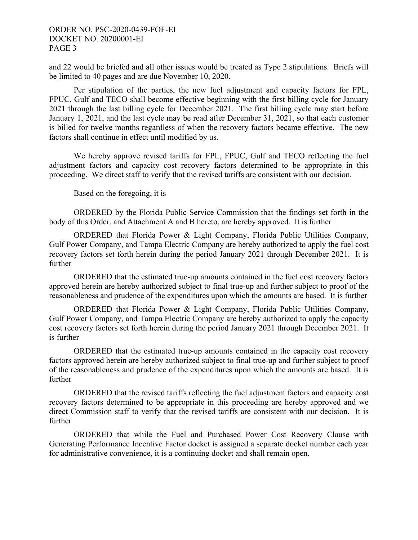# ORDER NO. PSC-2020-0439-FOF-EI DOCKET NO. 20200001-EI PAGE 3

and 22 would be briefed and all other issues would be treated as Type 2 stipulations. Briefs will be limited to 40 pages and are due November 10, 2020.

 Per stipulation of the parties, the new fuel adjustment and capacity factors for FPL, FPUC, Gulf and TECO shall become effective beginning with the first billing cycle for January 2021 through the last billing cycle for December 2021. The first billing cycle may start before January 1, 2021, and the last cycle may be read after December 31, 2021, so that each customer is billed for twelve months regardless of when the recovery factors became effective. The new factors shall continue in effect until modified by us.

 We hereby approve revised tariffs for FPL, FPUC, Gulf and TECO reflecting the fuel adjustment factors and capacity cost recovery factors determined to be appropriate in this proceeding. We direct staff to verify that the revised tariffs are consistent with our decision.

Based on the foregoing, it is

 ORDERED by the Florida Public Service Commission that the findings set forth in the body of this Order, and Attachment A and B hereto, are hereby approved. It is further

 ORDERED that Florida Power & Light Company, Florida Public Utilities Company, Gulf Power Company, and Tampa Electric Company are hereby authorized to apply the fuel cost recovery factors set forth herein during the period January 2021 through December 2021. It is further

 ORDERED that the estimated true-up amounts contained in the fuel cost recovery factors approved herein are hereby authorized subject to final true-up and further subject to proof of the reasonableness and prudence of the expenditures upon which the amounts are based. It is further

 ORDERED that Florida Power & Light Company, Florida Public Utilities Company, Gulf Power Company, and Tampa Electric Company are hereby authorized to apply the capacity cost recovery factors set forth herein during the period January 2021 through December 2021. It is further

 ORDERED that the estimated true-up amounts contained in the capacity cost recovery factors approved herein are hereby authorized subject to final true-up and further subject to proof of the reasonableness and prudence of the expenditures upon which the amounts are based. It is further

 ORDERED that the revised tariffs reflecting the fuel adjustment factors and capacity cost recovery factors determined to be appropriate in this proceeding are hereby approved and we direct Commission staff to verify that the revised tariffs are consistent with our decision. It is further

 ORDERED that while the Fuel and Purchased Power Cost Recovery Clause with Generating Performance Incentive Factor docket is assigned a separate docket number each year for administrative convenience, it is a continuing docket and shall remain open.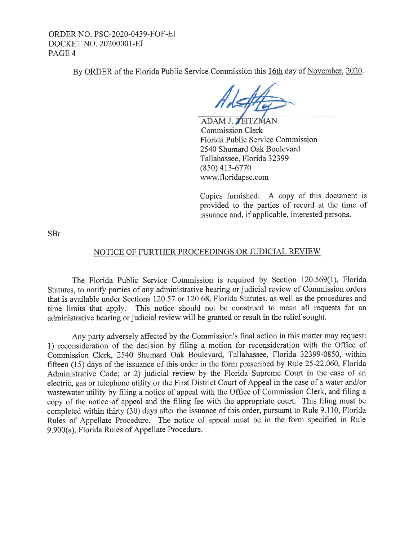ORDER NO. PSC-2020-0439-FOF-EI DOCKET NO. 20200001-EI PAGE<sub>4</sub>

By ORDER of the Florida Public Service Commission this 16th day of November, 2020.

ADAM J. ZEITZMAN Commission Clerk Florida Public Service Commission 2540 Shumard Oak Boulevard Tallahassee, Florida 32399 (850) 413-6770 www.floridapsc.com

Copies furnished: A copy of this document is provided to the parties of record at the time of issuance and, if applicable, interested persons.

SBr

# NOTICE OF FURTHER PROCEEDINGS OR JUDICIAL REVIEW

The Florida Public Service Commission is required by Section 120.569(1), Florida Statutes, to notify parties of any administrative hearing or judicial review of Commission orders that is available under Sections 120.57 or 120.68, Florida Statutes, as well as the procedures and time limits that apply. This notice should not be construed to mean all requests for an administrative hearing or judicial review will be granted or result in the relief sought.

Any party adversely affected by the Commission's final action in this matter may request: 1) reconsideration of the decision by filing a motion for reconsideration with the Office of Commission Clerk, 2540 Shumard Oak Boulevard, Tallahassee, Florida 32399-0850, within fifteen (15) days of the issuance of this order in the form prescribed by Rule 25-22.060, Florida Administrative Code; or 2) judicial review by the Florida Supreme Court in the case of an electric, gas or telephone utility or the First District Court of Appeal in the case of a water and/or wastewater utility by filing a notice of appeal with the Office of Commission Clerk, and filing a copy of the notice of appeal and the filing fee with the appropriate court. This filing must be completed within thirty (30) days after the issuance of this order, pursuant to Rule 9.110, Florida Rules of Appellate Procedure. The notice of appeal must be in the form specified in Rule 9.900(a), Florida Rules of Appellate Procedure.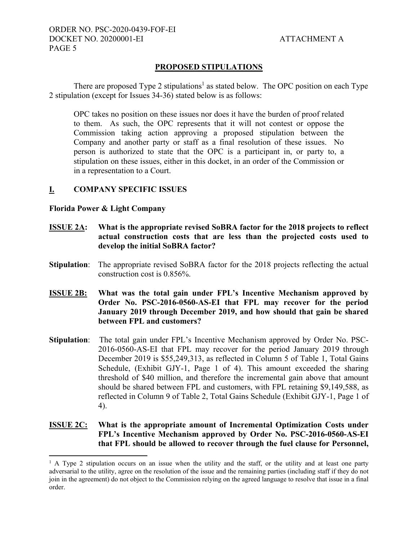# **PROPOSED STIPULATIONS**

There are proposed Type 2 stipulations<sup>1</sup> as stated below. The OPC position on each Type 2 stipulation (except for Issues 34-36) stated below is as follows:

OPC takes no position on these issues nor does it have the burden of proof related to them. As such, the OPC represents that it will not contest or oppose the Commission taking action approving a proposed stipulation between the Company and another party or staff as a final resolution of these issues. No person is authorized to state that the OPC is a participant in, or party to, a stipulation on these issues, either in this docket, in an order of the Commission or in a representation to a Court.

# **I. COMPANY SPECIFIC ISSUES**

#### **Florida Power & Light Company**

 $\overline{a}$ 

- **ISSUE 2A: What is the appropriate revised SoBRA factor for the 2018 projects to reflect actual construction costs that are less than the projected costs used to develop the initial SoBRA factor?**
- **Stipulation:** The appropriate revised SoBRA factor for the 2018 projects reflecting the actual construction cost is 0.856%.
- **ISSUE 2B: What was the total gain under FPL's Incentive Mechanism approved by Order No. PSC-2016-0560-AS-EI that FPL may recover for the period January 2019 through December 2019, and how should that gain be shared between FPL and customers?**
- **Stipulation**: The total gain under FPL's Incentive Mechanism approved by Order No. PSC-2016-0560-AS-EI that FPL may recover for the period January 2019 through December 2019 is \$55,249,313, as reflected in Column 5 of Table 1, Total Gains Schedule, (Exhibit GJY-1, Page 1 of 4). This amount exceeded the sharing threshold of \$40 million, and therefore the incremental gain above that amount should be shared between FPL and customers, with FPL retaining \$9,149,588, as reflected in Column 9 of Table 2, Total Gains Schedule (Exhibit GJY-1, Page 1 of 4).

# **ISSUE 2C: What is the appropriate amount of Incremental Optimization Costs under FPL's Incentive Mechanism approved by Order No. PSC-2016-0560-AS-EI that FPL should be allowed to recover through the fuel clause for Personnel,**

<sup>&</sup>lt;sup>1</sup> A Type 2 stipulation occurs on an issue when the utility and the staff, or the utility and at least one party adversarial to the utility, agree on the resolution of the issue and the remaining parties (including staff if they do not join in the agreement) do not object to the Commission relying on the agreed language to resolve that issue in a final order.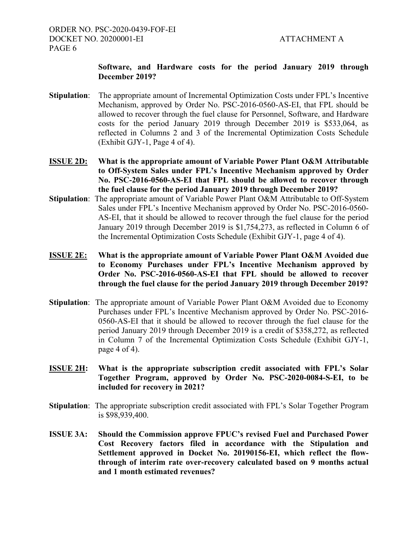# **Software, and Hardware costs for the period January 2019 through December 2019?**

- **Stipulation**: The appropriate amount of Incremental Optimization Costs under FPL's Incentive Mechanism, approved by Order No. PSC-2016-0560-AS-EI, that FPL should be allowed to recover through the fuel clause for Personnel, Software, and Hardware costs for the period January 2019 through December 2019 is \$533,064, as reflected in Columns 2 and 3 of the Incremental Optimization Costs Schedule (Exhibit GJY-1, Page 4 of 4).
- **ISSUE 2D: What is the appropriate amount of Variable Power Plant O&M Attributable to Off-System Sales under FPL's Incentive Mechanism approved by Order No. PSC-2016-0560-AS-EI that FPL should be allowed to recover through the fuel clause for the period January 2019 through December 2019?**
- **Stipulation**: The appropriate amount of Variable Power Plant O&M Attributable to Off-System Sales under FPL's Incentive Mechanism approved by Order No. PSC-2016-0560- AS-EI, that it should be allowed to recover through the fuel clause for the period January 2019 through December 2019 is \$1,754,273, as reflected in Column 6 of the Incremental Optimization Costs Schedule (Exhibit GJY-1, page 4 of 4).
- **ISSUE 2E: What is the appropriate amount of Variable Power Plant O&M Avoided due to Economy Purchases under FPL's Incentive Mechanism approved by Order No. PSC-2016-0560-AS-EI that FPL should be allowed to recover through the fuel clause for the period January 2019 through December 2019?**
- **Stipulation**: The appropriate amount of Variable Power Plant O&M Avoided due to Economy Purchases under FPL's Incentive Mechanism approved by Order No. PSC-2016- 0560-AS-EI that it should be allowed to recover through the fuel clause for the period January 2019 through December 2019 is a credit of \$358,272, as reflected in Column 7 of the Incremental Optimization Costs Schedule (Exhibit GJY-1, page 4 of 4).
- **ISSUE 2H: What is the appropriate subscription credit associated with FPL's Solar Together Program, approved by Order No. PSC-2020-0084-S-EI, to be included for recovery in 2021?**
- **Stipulation:** The appropriate subscription credit associated with FPL's Solar Together Program is \$98,939,400.
- **ISSUE 3A: Should the Commission approve FPUC's revised Fuel and Purchased Power Cost Recovery factors filed in accordance with the Stipulation and Settlement approved in Docket No. 20190156-EI, which reflect the flowthrough of interim rate over-recovery calculated based on 9 months actual and 1 month estimated revenues?**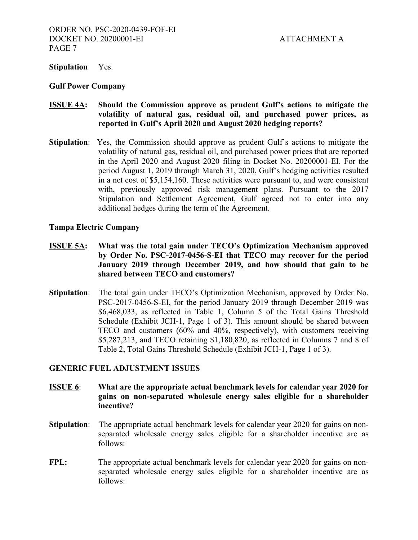#### **Stipulation** Yes.

#### **Gulf Power Company**

# **ISSUE 4A: Should the Commission approve as prudent Gulf's actions to mitigate the volatility of natural gas, residual oil, and purchased power prices, as reported in Gulf's April 2020 and August 2020 hedging reports?**

**Stipulation**: Yes, the Commission should approve as prudent Gulf's actions to mitigate the volatility of natural gas, residual oil, and purchased power prices that are reported in the April 2020 and August 2020 filing in Docket No. 20200001-EI. For the period August 1, 2019 through March 31, 2020, Gulf's hedging activities resulted in a net cost of \$5,154,160. These activities were pursuant to, and were consistent with, previously approved risk management plans. Pursuant to the 2017 Stipulation and Settlement Agreement, Gulf agreed not to enter into any additional hedges during the term of the Agreement.

#### **Tampa Electric Company**

- **ISSUE 5A: What was the total gain under TECO's Optimization Mechanism approved by Order No. PSC-2017-0456-S-EI that TECO may recover for the period January 2019 through December 2019, and how should that gain to be shared between TECO and customers?**
- **Stipulation**: The total gain under TECO's Optimization Mechanism, approved by Order No. PSC-2017-0456-S-EI, for the period January 2019 through December 2019 was \$6,468,033, as reflected in Table 1, Column 5 of the Total Gains Threshold Schedule (Exhibit JCH-1, Page 1 of 3). This amount should be shared between TECO and customers (60% and 40%, respectively), with customers receiving \$5,287,213, and TECO retaining \$1,180,820, as reflected in Columns 7 and 8 of Table 2, Total Gains Threshold Schedule (Exhibit JCH-1, Page 1 of 3).

# **GENERIC FUEL ADJUSTMENT ISSUES**

- **ISSUE 6**: **What are the appropriate actual benchmark levels for calendar year 2020 for gains on non-separated wholesale energy sales eligible for a shareholder incentive?**
- **Stipulation:** The appropriate actual benchmark levels for calendar year 2020 for gains on non separated wholesale energy sales eligible for a shareholder incentive are as follows:
- **FPL:** The appropriate actual benchmark levels for calendar year 2020 for gains on nonseparated wholesale energy sales eligible for a shareholder incentive are as follows: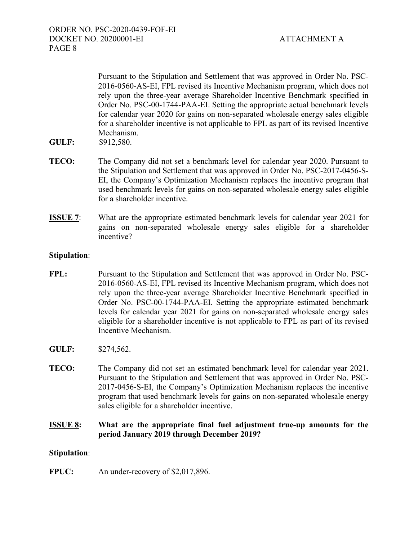ORDER NO. PSC-2020-0439-FOF-EI DOCKET NO. 20200001-EI ATTACHMENT A PAGE 8

 Pursuant to the Stipulation and Settlement that was approved in Order No. PSC-2016-0560-AS-EI, FPL revised its Incentive Mechanism program, which does not rely upon the three-year average Shareholder Incentive Benchmark specified in Order No. PSC-00-1744-PAA-EI. Setting the appropriate actual benchmark levels for calendar year 2020 for gains on non-separated wholesale energy sales eligible for a shareholder incentive is not applicable to FPL as part of its revised Incentive Mechanism.

- **GULF:** \$912,580.
- **TECO:** The Company did not set a benchmark level for calendar year 2020. Pursuant to the Stipulation and Settlement that was approved in Order No. PSC-2017-0456-S-EI, the Company's Optimization Mechanism replaces the incentive program that used benchmark levels for gains on non-separated wholesale energy sales eligible for a shareholder incentive.
- **ISSUE 7:** What are the appropriate estimated benchmark levels for calendar year 2021 for gains on non-separated wholesale energy sales eligible for a shareholder incentive?

# **Stipulation**:

- **FPL:** Pursuant to the Stipulation and Settlement that was approved in Order No. PSC-2016-0560-AS-EI, FPL revised its Incentive Mechanism program, which does not rely upon the three-year average Shareholder Incentive Benchmark specified in Order No. PSC-00-1744-PAA-EI. Setting the appropriate estimated benchmark levels for calendar year 2021 for gains on non-separated wholesale energy sales eligible for a shareholder incentive is not applicable to FPL as part of its revised Incentive Mechanism.
- **GULF:** \$274,562.
- **TECO:** The Company did not set an estimated benchmark level for calendar year 2021. Pursuant to the Stipulation and Settlement that was approved in Order No. PSC-2017-0456-S-EI, the Company's Optimization Mechanism replaces the incentive program that used benchmark levels for gains on non-separated wholesale energy sales eligible for a shareholder incentive.

# **ISSUE 8: What are the appropriate final fuel adjustment true-up amounts for the period January 2019 through December 2019?**

#### **Stipulation**:

**FPUC:** An under-recovery of \$2,017,896.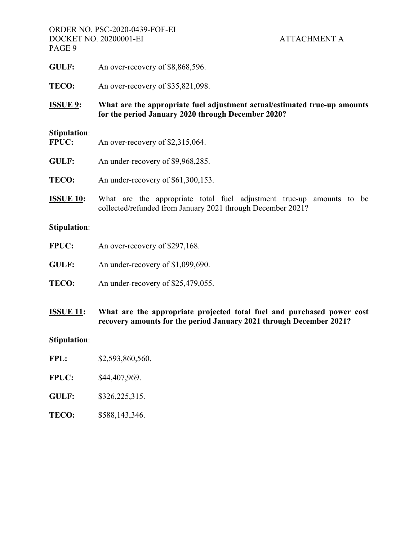ORDER NO. PSC-2020-0439-FOF-EI DOCKET NO. 20200001-EI ATTACHMENT A PAGE 9

- GULF: An over-recovery of \$8,868,596.
- **TECO:** An over-recovery of \$35,821,098.
- **ISSUE 9: What are the appropriate fuel adjustment actual/estimated true-up amounts for the period January 2020 through December 2020?**

#### **Stipulation**:

- FPUC: An over-recovery of \$2,315,064.
- **GULF:** An under-recovery of \$9,968,285.
- **TECO:** An under-recovery of \$61,300,153.
- **ISSUE 10:** What are the appropriate total fuel adjustment true-up amounts to be collected/refunded from January 2021 through December 2021?

#### **Stipulation**:

| <b>FPUC:</b> | An over-recovery of \$297,168. |
|--------------|--------------------------------|
|--------------|--------------------------------|

- **GULF:** An under-recovery of \$1,099,690.
- **TECO:** An under-recovery of \$25,479,055.
- **ISSUE 11: What are the appropriate projected total fuel and purchased power cost recovery amounts for the period January 2021 through December 2021?**

# **Stipulation**:

- **FPL:** \$2,593,860,560.
- **FPUC:** \$44,407,969.
- **GULF:** \$326,225,315.
- **TECO:** \$588,143,346.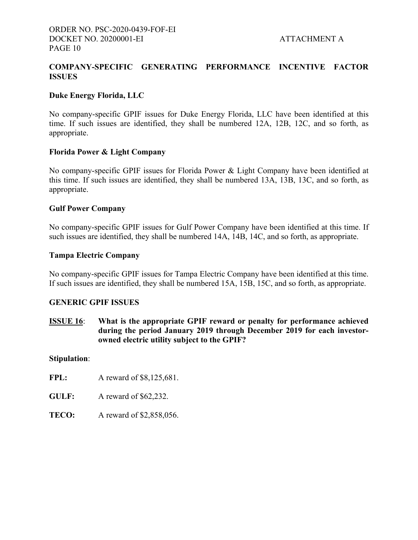# **COMPANY-SPECIFIC GENERATING PERFORMANCE INCENTIVE FACTOR ISSUES**

# **Duke Energy Florida, LLC**

No company-specific GPIF issues for Duke Energy Florida, LLC have been identified at this time. If such issues are identified, they shall be numbered 12A, 12B, 12C, and so forth, as appropriate.

# **Florida Power & Light Company**

No company-specific GPIF issues for Florida Power & Light Company have been identified at this time. If such issues are identified, they shall be numbered 13A, 13B, 13C, and so forth, as appropriate.

# **Gulf Power Company**

No company-specific GPIF issues for Gulf Power Company have been identified at this time. If such issues are identified, they shall be numbered 14A, 14B, 14C, and so forth, as appropriate.

# **Tampa Electric Company**

No company-specific GPIF issues for Tampa Electric Company have been identified at this time. If such issues are identified, they shall be numbered 15A, 15B, 15C, and so forth, as appropriate.

# **GENERIC GPIF ISSUES**

**ISSUE 16**: **What is the appropriate GPIF reward or penalty for performance achieved during the period January 2019 through December 2019 for each investorowned electric utility subject to the GPIF?**

#### **Stipulation**:

**FPL:** A reward of \$8,125,681.

- **GULF:** A reward of \$62,232.
- **TECO:** A reward of \$2,858,056.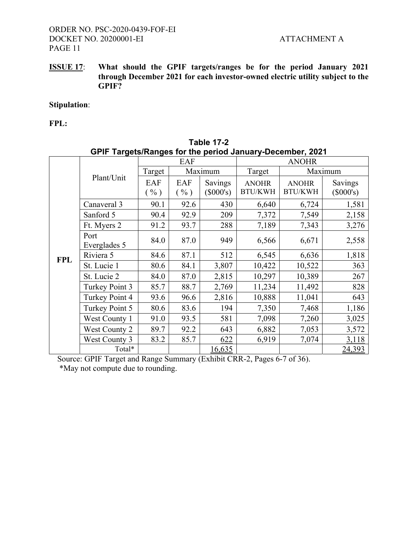**ISSUE 17**: **What should the GPIF targets/ranges be for the period January 2021 through December 2021 for each investor-owned electric utility subject to the GPIF?**

# **Stipulation**:

**FPL:** 

| GPIF Targets/Ranges for the period January-December, 2021 |                      |                                   |             |                               |                                |                                |                        |
|-----------------------------------------------------------|----------------------|-----------------------------------|-------------|-------------------------------|--------------------------------|--------------------------------|------------------------|
|                                                           |                      | <b>EAF</b>                        |             |                               | <b>ANOHR</b>                   |                                |                        |
|                                                           |                      | Target                            | Maximum     |                               | Target                         | Maximum                        |                        |
|                                                           | Plant/Unit           | EAF<br>$\left(\frac{0}{0}\right)$ | EAF<br>( %) | <b>Savings</b><br>$(\$000's)$ | <b>ANOHR</b><br><b>BTU/KWH</b> | <b>ANOHR</b><br><b>BTU/KWH</b> | Savings<br>$(\$000's)$ |
|                                                           | Canaveral 3          | 90.1                              | 92.6        | 430                           | 6,640                          | 6,724                          | 1,581                  |
|                                                           | Sanford 5            | 90.4                              | 92.9        | 209                           | 7,372                          | 7,549                          | 2,158                  |
|                                                           | Ft. Myers 2          | 91.2                              | 93.7        | 288                           | 7,189                          | 7,343                          | 3,276                  |
|                                                           | Port<br>Everglades 5 | 84.0                              | 87.0        | 949                           | 6,566                          | 6,671                          | 2,558                  |
| <b>FPL</b>                                                | Riviera 5            | 84.6                              | 87.1        | 512                           | 6,545                          | 6,636                          | 1,818                  |
|                                                           | St. Lucie 1          | 80.6                              | 84.1        | 3,807                         | 10,422                         | 10,522                         | 363                    |
|                                                           | St. Lucie 2          | 84.0                              | 87.0        | 2,815                         | 10,297                         | 10,389                         | 267                    |
|                                                           | Turkey Point 3       | 85.7                              | 88.7        | 2,769                         | 11,234                         | 11,492                         | 828                    |
|                                                           | Turkey Point 4       | 93.6                              | 96.6        | 2,816                         | 10,888                         | 11,041                         | 643                    |
|                                                           | Turkey Point 5       | 80.6                              | 83.6        | 194                           | 7,350                          | 7,468                          | 1,186                  |
|                                                           | West County 1        | 91.0                              | 93.5        | 581                           | 7,098                          | 7,260                          | 3,025                  |
|                                                           | <b>West County 2</b> | 89.7                              | 92.2        | 643                           | 6,882                          | 7,053                          | 3,572                  |
|                                                           | West County 3        | 83.2                              | 85.7        | 622                           | 6,919                          | 7,074                          | 3,118                  |
|                                                           | Total*               |                                   |             | 16,635                        |                                |                                | 24,393                 |

| <b>Table 17-2</b>                                                |  |
|------------------------------------------------------------------|--|
| <b>GPIF Targets/Ranges for the period January-December, 2021</b> |  |

Source: GPIF Target and Range Summary (Exhibit CRR-2, Pages 6-7 of 36).

\*May not compute due to rounding.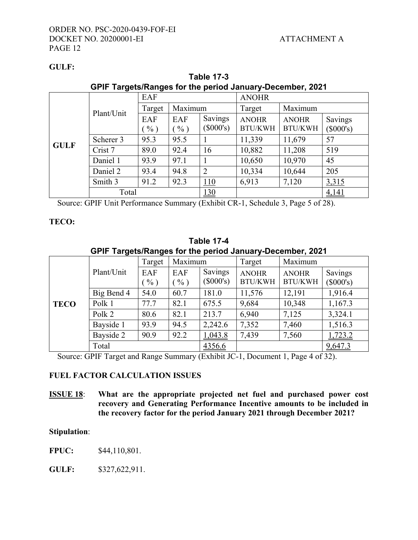# **GULF:**

|             | OF II Talgets/Naliges for the period January-Decenner, 2021 |                        |               |                        |                                |                                |                      |
|-------------|-------------------------------------------------------------|------------------------|---------------|------------------------|--------------------------------|--------------------------------|----------------------|
|             |                                                             | EAF                    |               |                        | <b>ANOHR</b>                   |                                |                      |
|             |                                                             | Target                 | Maximum       |                        | Target                         | Maximum                        |                      |
|             | Plant/Unit                                                  | EAF<br>$\frac{0}{0}$ ) | EAF<br>$\%$ ) | Savings<br>$(\$000's)$ | <b>ANOHR</b><br><b>BTU/KWH</b> | <b>ANOHR</b><br><b>BTU/KWH</b> | Savings<br>(\$000's) |
|             | Scherer 3                                                   | 95.3                   | 95.5          |                        | 11,339                         | 11,679                         | 57                   |
| <b>GULF</b> | Crist 7                                                     | 89.0                   | 92.4          | 16                     | 10,882                         | 11,208                         | 519                  |
|             | Daniel 1                                                    | 93.9                   | 97.1          |                        | 10,650                         | 10,970                         | 45                   |
|             | Daniel 2                                                    | 93.4                   | 94.8          | $\overline{2}$         | 10,334                         | 10,644                         | 205                  |
|             | Smith 3                                                     | 91.2                   | 92.3          | 110                    | 6,913                          | 7,120                          | 3,315                |
|             | Total                                                       |                        |               | 130                    |                                |                                | 4,141                |

**Table 17-3 GPIF Targets/Ranges for the period January-December, 2021**

Source: GPIF Unit Performance Summary (Exhibit CR-1, Schedule 3, Page 5 of 28).

# **TECO:**

| <b>Table 17-4</b>                                         |
|-----------------------------------------------------------|
| GPIF Targets/Ranges for the period January-December, 2021 |

|             |            | Target        | Maximum       |                        | Maximum<br>Target              |                                |                      |
|-------------|------------|---------------|---------------|------------------------|--------------------------------|--------------------------------|----------------------|
|             | Plant/Unit | EAF<br>$\%$ ) | EAF<br>$\%$ ) | Savings<br>$(\$000's)$ | <b>ANOHR</b><br><b>BTU/KWH</b> | <b>ANOHR</b><br><b>BTU/KWH</b> | Savings<br>(\$000's) |
|             | Big Bend 4 | 54.0          | 60.7          | 181.0                  | 11,576                         | 12,191                         | 1,916.4              |
| <b>TECO</b> | Polk 1     | 77.7          | 82.1          | 675.5                  | 9,684                          | 10,348                         | 1,167.3              |
|             | Polk 2     | 80.6          | 82.1          | 213.7                  | 6,940                          | 7,125                          | 3,324.1              |
|             | Bayside 1  | 93.9          | 94.5          | 2,242.6                | 7,352                          | 7,460                          | 1,516.3              |
|             | Bayside 2  | 90.9          | 92.2          | 1,043.8                | 7,439                          | 7,560                          | 1,723.2              |
|             | Total      |               |               | 4356.6                 |                                |                                | 9,647.3              |

Source: GPIF Target and Range Summary (Exhibit JC-1, Document 1, Page 4 of 32).

# **FUEL FACTOR CALCULATION ISSUES**

**ISSUE 18**: **What are the appropriate projected net fuel and purchased power cost recovery and Generating Performance Incentive amounts to be included in the recovery factor for the period January 2021 through December 2021?**

# **Stipulation**:

**FPUC:** \$44,110,801.

**GULF:** \$327,622,911.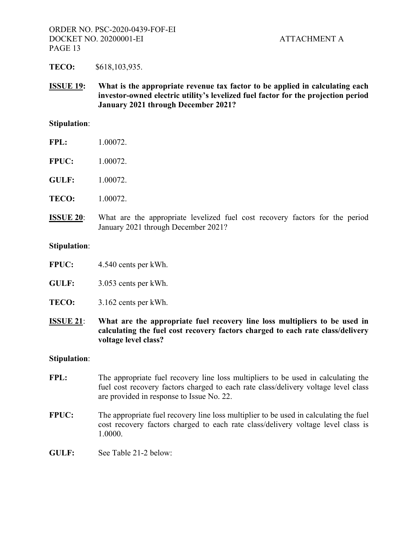**TECO:** \$618,103,935.

**ISSUE 19: What is the appropriate revenue tax factor to be applied in calculating each investor-owned electric utility's levelized fuel factor for the projection period January 2021 through December 2021?** 

# **Stipulation**:

- **FPL:** 1.00072.
- **FPUC:** 1.00072.
- **GULF:** 1.00072.
- **TECO:** 1.00072.
- **ISSUE 20**: What are the appropriate levelized fuel cost recovery factors for the period January 2021 through December 2021?

#### **Stipulation**:

- **FPUC:** 4.540 cents per kWh.
- **GULF:** 3.053 cents per kWh.
- **TECO:** 3.162 cents per kWh.
- **ISSUE 21**: **What are the appropriate fuel recovery line loss multipliers to be used in calculating the fuel cost recovery factors charged to each rate class/delivery voltage level class?**

#### **Stipulation**:

- FPL: The appropriate fuel recovery line loss multipliers to be used in calculating the fuel cost recovery factors charged to each rate class/delivery voltage level class are provided in response to Issue No. 22.
- **FPUC:** The appropriate fuel recovery line loss multiplier to be used in calculating the fuel cost recovery factors charged to each rate class/delivery voltage level class is 1.0000.
- **GULF:** See Table 21-2 below: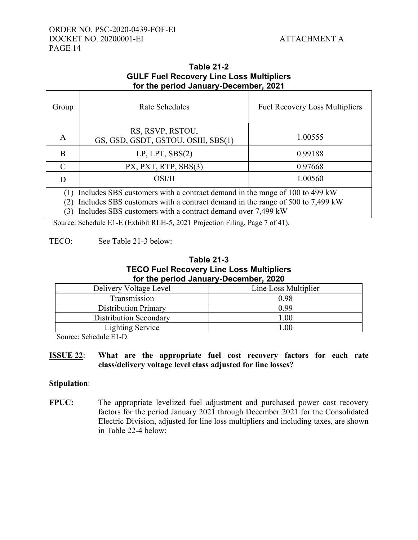# ORDER NO. PSC-2020-0439-FOF-EI DOCKET NO. 20200001-EI ATTACHMENT A PAGE 14

# **Table 21-2 GULF Fuel Recovery Line Loss Multipliers for the period January-December, 2021**

| Group                                                                                                                                                                                                                       | <b>Rate Schedules</b>                                   | <b>Fuel Recovery Loss Multipliers</b> |  |  |  |
|-----------------------------------------------------------------------------------------------------------------------------------------------------------------------------------------------------------------------------|---------------------------------------------------------|---------------------------------------|--|--|--|
| A                                                                                                                                                                                                                           | RS, RSVP, RSTOU,<br>GS, GSD, GSDT, GSTOU, OSIII, SBS(1) | 1.00555                               |  |  |  |
| B                                                                                                                                                                                                                           | LP, LPT, SBS(2)                                         | 0.99188                               |  |  |  |
| $\mathcal{C}_{\mathcal{C}}$                                                                                                                                                                                                 | PX, PXT, RTP, SBS(3)                                    | 0.97668                               |  |  |  |
| D                                                                                                                                                                                                                           | OSI/II                                                  | 1.00560                               |  |  |  |
| Includes SBS customers with a contract demand in the range of 100 to 499 kW<br>Includes SBS customers with a contract demand in the range of 500 to 7,499 kW<br>Includes SBS customers with a contract demand over 7,499 kW |                                                         |                                       |  |  |  |

Source: Schedule E1-E (Exhibit RLH-5, 2021 Projection Filing, Page 7 of 41).

# TECO: See Table 21-3 below:

# **Table 21-3 TECO Fuel Recovery Line Loss Multipliers for the period January-December, 2020**

| Delivery Voltage Level        | Line Loss Multiplier |
|-------------------------------|----------------------|
| Transmission                  | 0.98                 |
| <b>Distribution Primary</b>   | 0.99                 |
| <b>Distribution Secondary</b> | .00                  |
| <b>Lighting Service</b>       | 00                   |

Source: Schedule E1-D.

# **ISSUE 22**: **What are the appropriate fuel cost recovery factors for each rate class/delivery voltage level class adjusted for line losses?**

# **Stipulation**:

**FPUC:** The appropriate levelized fuel adjustment and purchased power cost recovery factors for the period January 2021 through December 2021 for the Consolidated Electric Division, adjusted for line loss multipliers and including taxes, are shown in Table 22-4 below: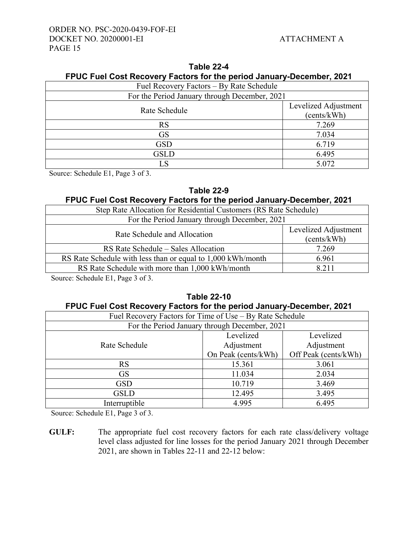| Fuel Recovery Factors – By Rate Schedule      |                      |  |  |
|-----------------------------------------------|----------------------|--|--|
| For the Period January through December, 2021 |                      |  |  |
| Rate Schedule                                 | Levelized Adjustment |  |  |
|                                               | (cents/kWh)          |  |  |
| <b>RS</b>                                     | 7.269                |  |  |
| <b>GS</b>                                     | 7.034                |  |  |
| <b>GSD</b>                                    | 6.719                |  |  |
| <b>GSLD</b>                                   | 6.495                |  |  |
| LS                                            | 5.072                |  |  |

| Table 22-4                                                            |  |  |  |  |  |
|-----------------------------------------------------------------------|--|--|--|--|--|
| FPUC Fuel Cost Recovery Factors for the period January-December, 2021 |  |  |  |  |  |

Source: Schedule E1, Page 3 of 3.

# **Table 22-9**

# **FPUC Fuel Cost Recovery Factors for the period January-December, 2021**

| Step Rate Allocation for Residential Customers (RS Rate Schedule) |                      |  |  |
|-------------------------------------------------------------------|----------------------|--|--|
| For the Period January through December, 2021                     |                      |  |  |
| Rate Schedule and Allocation                                      | Levelized Adjustment |  |  |
|                                                                   | (cents/kWh)          |  |  |
| RS Rate Schedule – Sales Allocation                               | 7.269                |  |  |
| RS Rate Schedule with less than or equal to 1,000 kWh/month       | 6.961                |  |  |
| RS Rate Schedule with more than 1,000 kWh/month                   | 8.211                |  |  |
|                                                                   |                      |  |  |

Source: Schedule E1, Page 3 of 3.

# **Table 22-10 FPUC Fuel Cost Recovery Factors for the period January-December, 2021**

| Fuel Recovery Factors for Time of Use – By Rate Schedule |                                               |                      |  |  |  |
|----------------------------------------------------------|-----------------------------------------------|----------------------|--|--|--|
|                                                          | For the Period January through December, 2021 |                      |  |  |  |
|                                                          | Levelized                                     | Levelized            |  |  |  |
| Rate Schedule                                            | Adjustment                                    | Adjustment           |  |  |  |
|                                                          | On Peak (cents/kWh)                           | Off Peak (cents/kWh) |  |  |  |
| RS                                                       | 15.361                                        | 3.061                |  |  |  |
| <b>GS</b>                                                | 11.034                                        | 2.034                |  |  |  |
| <b>GSD</b>                                               | 10.719                                        | 3.469                |  |  |  |
| <b>GSLD</b>                                              | 12.495                                        | 3.495                |  |  |  |
| Interruptible                                            | 4.995                                         | 6.495                |  |  |  |

Source: Schedule E1, Page 3 of 3.

**GULF:** The appropriate fuel cost recovery factors for each rate class/delivery voltage level class adjusted for line losses for the period January 2021 through December 2021, are shown in Tables 22-11 and 22-12 below: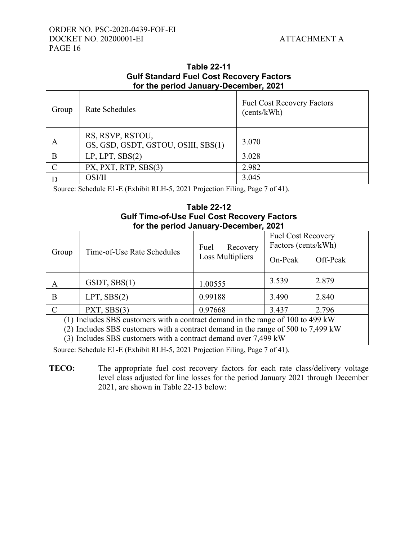| for the period January-December, 2021 |                                                         |                                                  |  |  |  |  |
|---------------------------------------|---------------------------------------------------------|--------------------------------------------------|--|--|--|--|
| Group                                 | Rate Schedules                                          | <b>Fuel Cost Recovery Factors</b><br>(cents/kWh) |  |  |  |  |
| A                                     | RS, RSVP, RSTOU,<br>GS, GSD, GSDT, GSTOU, OSIII, SBS(1) | 3.070                                            |  |  |  |  |
| B                                     | LP, LPT, SBS(2)                                         | 3.028                                            |  |  |  |  |
| $\mathcal{C}$                         | PX, PXT, RTP, SBS(3)                                    | 2.982                                            |  |  |  |  |
|                                       | OSI/II                                                  | 3.045                                            |  |  |  |  |

# **Table 22-11 Gulf Standard Fuel Cost Recovery Factors**

Source: Schedule E1-E (Exhibit RLH-5, 2021 Projection Filing, Page 7 of 41).

# **Table 22-12 Gulf Time-of-Use Fuel Cost Recovery Factors for the period January-December, 2021**

|                                                                                   |                                                       | Fuel<br>Recovery | <b>Fuel Cost Recovery</b><br>Factors (cents/kWh) |          |  |
|-----------------------------------------------------------------------------------|-------------------------------------------------------|------------------|--------------------------------------------------|----------|--|
| Group                                                                             | Time-of-Use Rate Schedules<br><b>Loss Multipliers</b> |                  | On-Peak                                          | Off-Peak |  |
| А                                                                                 | GSDT, SBS(1)                                          | 1.00555          | 3.539                                            | 2.879    |  |
| Β                                                                                 | $LPT$ , $SBS(2)$                                      | 0.99188          | 3.490                                            | 2.840    |  |
| $\mathcal{C}$                                                                     | PXT, SBS(3)                                           | 0.97668          | 3.437                                            | 2.796    |  |
| (1) Includes SBS customers with a contract demand in the range of 100 to 499 kW   |                                                       |                  |                                                  |          |  |
| (2) Includes SBS customers with a contract demand in the range of 500 to 7,499 kW |                                                       |                  |                                                  |          |  |
| (3) Includes SBS customers with a contract demand over 7,499 kW                   |                                                       |                  |                                                  |          |  |

Source: Schedule E1-E (Exhibit RLH-5, 2021 Projection Filing, Page 7 of 41).

**TECO:** The appropriate fuel cost recovery factors for each rate class/delivery voltage level class adjusted for line losses for the period January 2021 through December 2021, are shown in Table 22-13 below: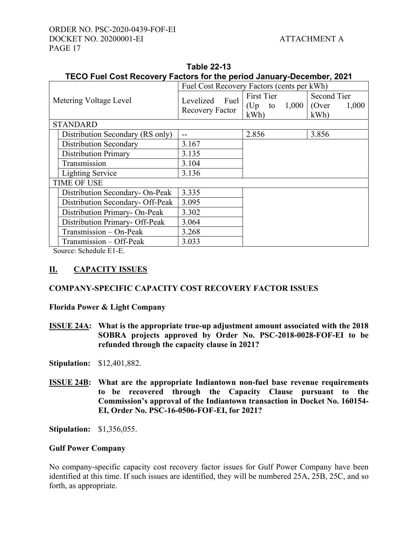# ORDER NO. PSC-2020-0439-FOF-EI DOCKET NO. 20200001-EI ATTACHMENT A PAGE 17

|                                  | TECO Fuel Cost Recovery Factors for the period January-December, 2021 |                                            |                                           |                             |  |  |
|----------------------------------|-----------------------------------------------------------------------|--------------------------------------------|-------------------------------------------|-----------------------------|--|--|
| Metering Voltage Level           |                                                                       | Fuel Cost Recovery Factors (cents per kWh) |                                           |                             |  |  |
|                                  |                                                                       | Levelized Fuel<br>Recovery Factor          | First Tier<br>(Up to $1,000$ (Over<br>kWh | Second Tier<br>1,000<br>kWh |  |  |
|                                  | <b>STANDARD</b>                                                       |                                            |                                           |                             |  |  |
|                                  | Distribution Secondary (RS only)                                      |                                            | 2.856                                     | 3.856                       |  |  |
|                                  | Distribution Secondary                                                | 3.167                                      |                                           |                             |  |  |
|                                  | <b>Distribution Primary</b>                                           | 3.135                                      |                                           |                             |  |  |
|                                  | Transmission                                                          | 3.104                                      |                                           |                             |  |  |
| <b>Lighting Service</b>          |                                                                       | 3.136                                      |                                           |                             |  |  |
|                                  | <b>TIME OF USE</b>                                                    |                                            |                                           |                             |  |  |
|                                  | Distribution Secondary- On-Peak                                       | 3.335                                      |                                           |                             |  |  |
| Distribution Secondary- Off-Peak |                                                                       | 3.095                                      |                                           |                             |  |  |
| Distribution Primary- On-Peak    |                                                                       | 3.302                                      |                                           |                             |  |  |
| Distribution Primary- Off-Peak   |                                                                       | 3.064                                      |                                           |                             |  |  |
| Transmission - On-Peak           |                                                                       | 3.268                                      |                                           |                             |  |  |
| Transmission - Off-Peak          |                                                                       | 3.033                                      |                                           |                             |  |  |

**Table 22-13** 

Source: Schedule E1-E.

# **II. CAPACITY ISSUES**

# **COMPANY-SPECIFIC CAPACITY COST RECOVERY FACTOR ISSUES**

**Florida Power & Light Company** 

**ISSUE 24A: What is the appropriate true-up adjustment amount associated with the 2018 SOBRA projects approved by Order No. PSC-2018-0028-FOF-EI to be refunded through the capacity clause in 2021?**

**Stipulation:** \$12,401,882.

**ISSUE 24B: What are the appropriate Indiantown non-fuel base revenue requirements to be recovered through the Capacity Clause pursuant to the Commission's approval of the Indiantown transaction in Docket No. 160154- EI, Order No. PSC-16-0506-FOF-EI, for 2021?** 

**Stipulation:** \$1,356,055.

#### **Gulf Power Company**

No company-specific capacity cost recovery factor issues for Gulf Power Company have been identified at this time. If such issues are identified, they will be numbered 25A, 25B, 25C, and so forth, as appropriate.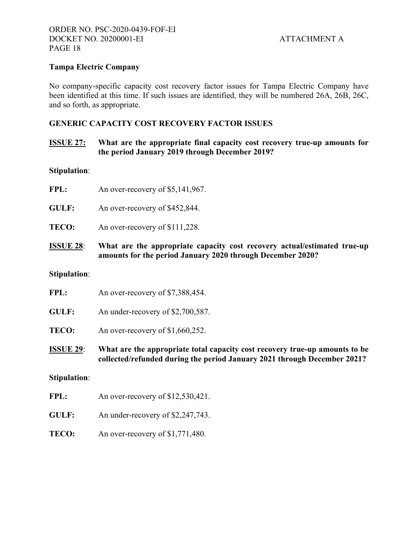# **Tampa Electric Company**

No company-specific capacity cost recovery factor issues for Tampa Electric Company have been identified at this time. If such issues are identified, they will be numbered 26A, 26B, 26C, and so forth, as appropriate.

# **GENERIC CAPACITY COST RECOVERY FACTOR ISSUES**

# **ISSUE 27: What are the appropriate final capacity cost recovery true-up amounts for the period January 2019 through December 2019?**

#### **Stipulation**:

- FPL: An over-recovery of \$5,141,967.
- GULF: An over-recovery of \$452,844.
- **TECO:** An over-recovery of \$111,228.
- **ISSUE 28**: **What are the appropriate capacity cost recovery actual/estimated true-up amounts for the period January 2020 through December 2020?**

# **Stipulation**:

| <b>ISSUE 29:</b> | What are the appropriate total capaci |
|------------------|---------------------------------------|
| <b>TECO:</b>     | An over-recovery of $$1,660,252$ .    |
| <b>GULF:</b>     | An under-recovery of \$2,700,587.     |
| FPL:             | An over-recovery of \$7,388,454.      |

**ISTUE 20: IS A LOCAL COST AT A LOCAL COST AT A LOCAL COST FECOVERY THE LOCAL COST FEETIMAL COST FEETIMAL COST collected/refunded during the period January 2021 through December 2021?** 

#### **Stipulation**:

- FPL: An over-recovery of \$12,530,421.
- **GULF:** An under-recovery of \$2,247,743.
- **TECO:** An over-recovery of \$1,771,480.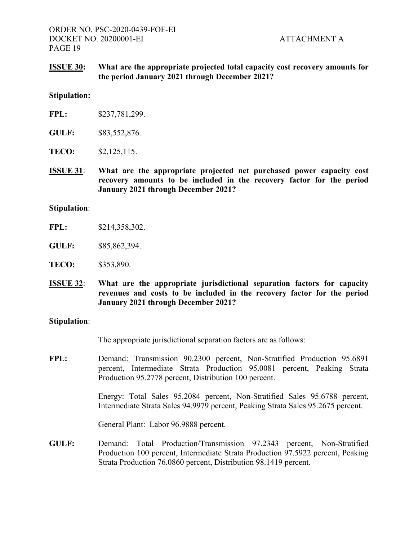# **ISSUE 30: What are the appropriate projected total capacity cost recovery amounts for the period January 2021 through December 2021?**

#### **Stipulation:**

| FPL: | \$237,781,299. |
|------|----------------|
|------|----------------|

- **GULF:** \$83,552,876.
- **TECO:** \$2,125,115.
- **ISSUE 31**: **What are the appropriate projected net purchased power capacity cost recovery amounts to be included in the recovery factor for the period January 2021 through December 2021?**

#### **Stipulation**:

- **GULF:** \$85,862,394.
- **TECO:** \$353,890.
- **ISSUE 32**: **What are the appropriate jurisdictional separation factors for capacity revenues and costs to be included in the recovery factor for the period January 2021 through December 2021?**

#### **Stipulation**:

The appropriate jurisdictional separation factors are as follows:

**FPL:** Demand: Transmission 90.2300 percent, Non-Stratified Production 95.6891 percent, Intermediate Strata Production 95.0081 percent, Peaking Strata Production 95.2778 percent, Distribution 100 percent.

> Energy: Total Sales 95.2084 percent, Non-Stratified Sales 95.6788 percent, Intermediate Strata Sales 94.9979 percent, Peaking Strata Sales 95.2675 percent.

General Plant: Labor 96.9888 percent.

**GULF:** Demand: Total Production/Transmission 97.2343 percent, Non-Stratified Production 100 percent, Intermediate Strata Production 97.5922 percent, Peaking Strata Production 76.0860 percent, Distribution 98.1419 percent.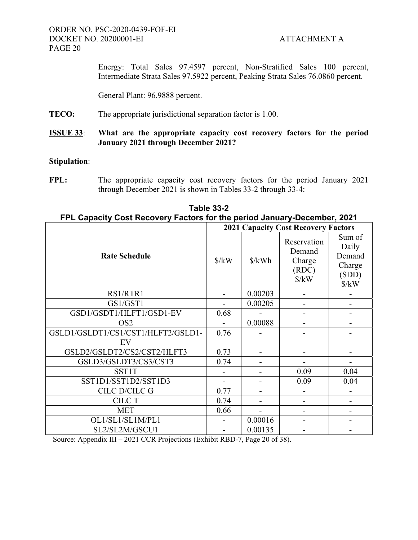Energy: Total Sales 97.4597 percent, Non-Stratified Sales 100 percent, Intermediate Strata Sales 97.5922 percent, Peaking Strata Sales 76.0860 percent.

General Plant: 96.9888 percent.

**TECO:** The appropriate jurisdictional separation factor is 1.00.

# **ISSUE 33**: **What are the appropriate capacity cost recovery factors for the period January 2021 through December 2021?**

# **Stipulation**:

FPL: The appropriate capacity cost recovery factors for the period January 2021 through December 2021 is shown in Tables 33-2 through 33-4:

| FPL Capacity Cost Recovery Factors for the period January-December, 2021 |                                            |                      |                                                                  |                                                                     |  |  |
|--------------------------------------------------------------------------|--------------------------------------------|----------------------|------------------------------------------------------------------|---------------------------------------------------------------------|--|--|
|                                                                          | <b>2021 Capacity Cost Recovery Factors</b> |                      |                                                                  |                                                                     |  |  |
| <b>Rate Schedule</b>                                                     | $\frac{\text{S}}{\text{K}}$                | $\frac{\sqrt{2}}{2}$ | Reservation<br>Demand<br>Charge<br>(RDC)<br>$\frac{\sqrt{2}}{N}$ | Sum of<br>Daily<br>Demand<br>Charge<br>(SDD)<br>$\frac{\gamma}{kW}$ |  |  |
| RS1/RTR1                                                                 |                                            | 0.00203              |                                                                  |                                                                     |  |  |
| GS1/GST1                                                                 |                                            | 0.00205              |                                                                  |                                                                     |  |  |
| GSD1/GSDT1/HLFT1/GSD1-EV                                                 | 0.68                                       |                      |                                                                  |                                                                     |  |  |
| OS <sub>2</sub>                                                          |                                            | 0.00088              |                                                                  |                                                                     |  |  |
| GSLD1/GSLDT1/CS1/CST1/HLFT2/GSLD1-<br>EV                                 | 0.76                                       |                      |                                                                  |                                                                     |  |  |
| GSLD2/GSLDT2/CS2/CST2/HLFT3                                              | 0.73                                       |                      |                                                                  |                                                                     |  |  |
| GSLD3/GSLDT3/CS3/CST3                                                    | 0.74                                       |                      |                                                                  |                                                                     |  |  |
| <b>SST1T</b>                                                             |                                            |                      | 0.09                                                             | 0.04                                                                |  |  |
| SST1D1/SST1D2/SST1D3                                                     |                                            |                      | 0.09                                                             | 0.04                                                                |  |  |
| CILC D/CILC G                                                            | 0.77                                       |                      |                                                                  |                                                                     |  |  |
| <b>CILC T</b>                                                            | 0.74                                       |                      |                                                                  |                                                                     |  |  |
| <b>MET</b>                                                               | 0.66                                       |                      |                                                                  |                                                                     |  |  |
| OL1/SL1/SL1M/PL1                                                         |                                            | 0.00016              |                                                                  |                                                                     |  |  |
| SL2/SL2M/GSCU1                                                           |                                            | 0.00135              |                                                                  |                                                                     |  |  |

# **Table 33-2 FPL Capacity Cost Recovery Factors for the period January-December, 2021**

Source: Appendix III – 2021 CCR Projections (Exhibit RBD-7, Page 20 of 38).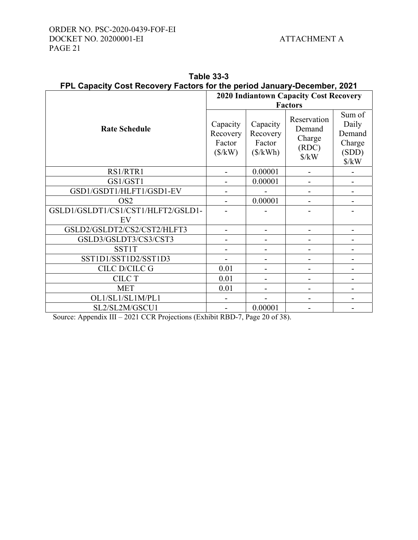|                                    | <b>2020 Indiantown Capacity Cost Recovery</b>       |                                                          |                                                                         |                                                                             |  |  |
|------------------------------------|-----------------------------------------------------|----------------------------------------------------------|-------------------------------------------------------------------------|-----------------------------------------------------------------------------|--|--|
|                                    | <b>Factors</b>                                      |                                                          |                                                                         |                                                                             |  |  |
| <b>Rate Schedule</b>               | Capacity<br>Recovery<br>Factor<br>$(\frac{1}{2}kW)$ | Capacity<br>Recovery<br>Factor<br>$(\frac{\sqrt{2}}{N})$ | Reservation<br>Demand<br>Charge<br>(RDC)<br>$\frac{\text{S}}{\text{K}}$ | Sum of<br>Daily<br>Demand<br>Charge<br>(SDD)<br>$\frac{\text{S}}{\text{K}}$ |  |  |
| RS1/RTR1                           |                                                     | 0.00001                                                  |                                                                         |                                                                             |  |  |
| GS1/GST1                           |                                                     | 0.00001                                                  |                                                                         |                                                                             |  |  |
| GSD1/GSDT1/HLFT1/GSD1-EV           |                                                     |                                                          |                                                                         |                                                                             |  |  |
| OS <sub>2</sub>                    |                                                     | 0.00001                                                  |                                                                         |                                                                             |  |  |
| GSLD1/GSLDT1/CS1/CST1/HLFT2/GSLD1- |                                                     |                                                          |                                                                         |                                                                             |  |  |
| EV                                 |                                                     |                                                          |                                                                         |                                                                             |  |  |
| GSLD2/GSLDT2/CS2/CST2/HLFT3        |                                                     |                                                          |                                                                         |                                                                             |  |  |
| GSLD3/GSLDT3/CS3/CST3              |                                                     |                                                          |                                                                         |                                                                             |  |  |
| SST1T                              |                                                     |                                                          |                                                                         |                                                                             |  |  |
| SST1D1/SST1D2/SST1D3               |                                                     |                                                          |                                                                         |                                                                             |  |  |
| <b>CILC D/CILC G</b>               | 0.01                                                |                                                          |                                                                         |                                                                             |  |  |
| <b>CILC T</b>                      | 0.01                                                |                                                          |                                                                         |                                                                             |  |  |
| <b>MET</b>                         | 0.01                                                |                                                          |                                                                         |                                                                             |  |  |
| OL1/SL1/SL1M/PL1                   |                                                     |                                                          |                                                                         |                                                                             |  |  |
| SL2/SL2M/GSCU1                     |                                                     | 0.00001                                                  |                                                                         |                                                                             |  |  |

| Table 33-3                                                               |  |  |  |  |
|--------------------------------------------------------------------------|--|--|--|--|
| FPL Capacity Cost Recovery Factors for the period January-December, 2021 |  |  |  |  |

Source: Appendix III – 2021 CCR Projections (Exhibit RBD-7, Page 20 of 38).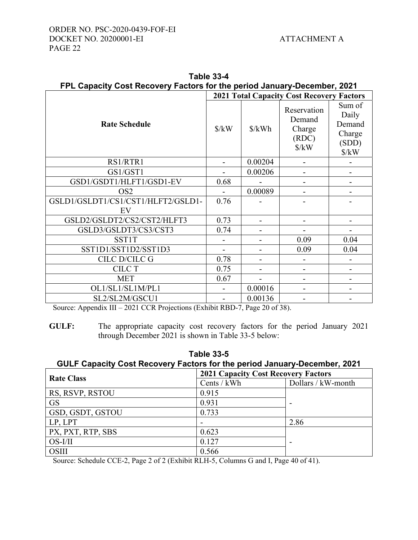|                                    | <b>2021 Total Capacity Cost Recovery Factors</b> |         |                                                                         |                                                                             |  |  |
|------------------------------------|--------------------------------------------------|---------|-------------------------------------------------------------------------|-----------------------------------------------------------------------------|--|--|
| <b>Rate Schedule</b>               | $\frac{\text{S}}{\text{K}}$                      | \$/kWh  | Reservation<br>Demand<br>Charge<br>(RDC)<br>$\frac{\text{S}}{\text{K}}$ | Sum of<br>Daily<br>Demand<br>Charge<br>(SDD)<br>$\frac{\text{S}}{\text{K}}$ |  |  |
| RS1/RTR1                           |                                                  | 0.00204 |                                                                         |                                                                             |  |  |
| GS1/GST1                           |                                                  | 0.00206 |                                                                         |                                                                             |  |  |
| GSD1/GSDT1/HLFT1/GSD1-EV           | 0.68                                             |         |                                                                         |                                                                             |  |  |
| OS <sub>2</sub>                    |                                                  | 0.00089 |                                                                         |                                                                             |  |  |
| GSLD1/GSLDT1/CS1/CST1/HLFT2/GSLD1- | 0.76                                             |         |                                                                         |                                                                             |  |  |
| EV                                 |                                                  |         |                                                                         |                                                                             |  |  |
| GSLD2/GSLDT2/CS2/CST2/HLFT3        | 0.73                                             |         |                                                                         |                                                                             |  |  |
| GSLD3/GSLDT3/CS3/CST3              | 0.74                                             |         |                                                                         |                                                                             |  |  |
| <b>SST1T</b>                       |                                                  |         | 0.09                                                                    | 0.04                                                                        |  |  |
| SST1D1/SST1D2/SST1D3               |                                                  |         | 0.09                                                                    | 0.04                                                                        |  |  |
| CILC D/CILC G                      | 0.78                                             |         |                                                                         |                                                                             |  |  |
| <b>CILC T</b>                      | 0.75                                             |         |                                                                         |                                                                             |  |  |
| <b>MET</b>                         | 0.67                                             |         |                                                                         |                                                                             |  |  |
| OL1/SL1/SL1M/PL1                   |                                                  | 0.00016 |                                                                         |                                                                             |  |  |
| SL2/SL2M/GSCU1                     |                                                  | 0.00136 |                                                                         |                                                                             |  |  |

|                                                                          |  | Table 33-4 |  |  |  |
|--------------------------------------------------------------------------|--|------------|--|--|--|
| FPL Capacity Cost Recovery Factors for the period January-December, 2021 |  |            |  |  |  |
|                                                                          |  |            |  |  |  |

Source: Appendix III – 2021 CCR Projections (Exhibit RBD-7, Page 20 of 38).

**GULF:** The appropriate capacity cost recovery factors for the period January 2021 through December 2021 is shown in Table 33-5 below:

| Table 33-5                                                                |
|---------------------------------------------------------------------------|
| GULF Capacity Cost Recovery Factors for the period January-December, 2021 |
|                                                                           |

| <b>Rate Class</b> | <b>2021 Capacity Cost Recovery Factors</b> |                    |  |
|-------------------|--------------------------------------------|--------------------|--|
|                   | Cents / kWh                                | Dollars / kW-month |  |
| RS, RSVP, RSTOU   | 0.915                                      |                    |  |
| <b>GS</b>         | 0.931                                      |                    |  |
| GSD, GSDT, GSTOU  | 0.733                                      |                    |  |
| LP, LPT           |                                            | 2.86               |  |
| PX, PXT, RTP, SBS | 0.623                                      |                    |  |
| OS-I/II           | 0.127                                      |                    |  |
| <b>OSIII</b>      | 0.566                                      |                    |  |

Source: Schedule CCE-2, Page 2 of 2 (Exhibit RLH-5, Columns G and I, Page 40 of 41).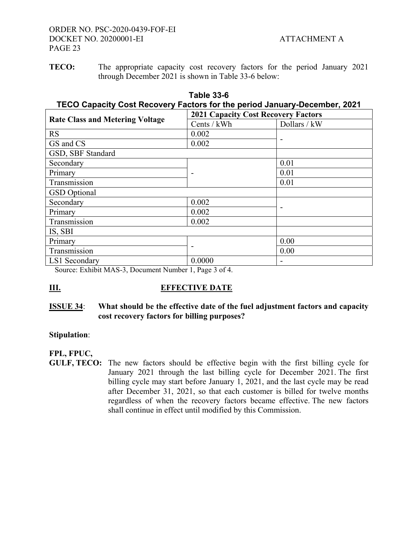**TECO:** The appropriate capacity cost recovery factors for the period January 2021 through December 2021 is shown in Table 33-6 below:

| Table 33-6<br>TECO Capacity Cost Recovery Factors for the period January-December, 2021 |                                     |                                |  |
|-----------------------------------------------------------------------------------------|-------------------------------------|--------------------------------|--|
| <b>Rate Class and Metering Voltage</b>                                                  | 2021 Capacity Cost Recovery Factors |                                |  |
|                                                                                         | $C_{\text{sub}}/1$ $\mathbf{N}$     | $D_{\infty}11_{\infty}$ / 1. W |  |

| <b>Rate Class and Metering Voltage</b> | Cents / kWh | Dollars / kW |
|----------------------------------------|-------------|--------------|
| <b>RS</b>                              | 0.002       |              |
| GS and CS                              | 0.002       |              |
| GSD, SBF Standard                      |             |              |
| Secondary                              |             | 0.01         |
| Primary                                |             | 0.01         |
| Transmission                           |             | 0.01         |
| <b>GSD</b> Optional                    |             |              |
| Secondary                              | 0.002       |              |
| Primary                                | 0.002       |              |
| Transmission                           | 0.002       |              |
| IS, SBI                                |             |              |
| Primary                                |             | 0.00         |
| Transmission                           |             | 0.00         |
| LS1 Secondary                          | 0.0000      |              |
|                                        |             |              |

Source: Exhibit MAS-3, Document Number 1, Page 3 of 4.

# **III.** EFFECTIVE DATE

# **ISSUE 34**: **What should be the effective date of the fuel adjustment factors and capacity cost recovery factors for billing purposes?**

# **Stipulation**:

# **FPL, FPUC,**

**GULF, TECO:** The new factors should be effective begin with the first billing cycle for January 2021 through the last billing cycle for December 2021. The first billing cycle may start before January 1, 2021, and the last cycle may be read after December 31, 2021, so that each customer is billed for twelve months regardless of when the recovery factors became effective. The new factors shall continue in effect until modified by this Commission.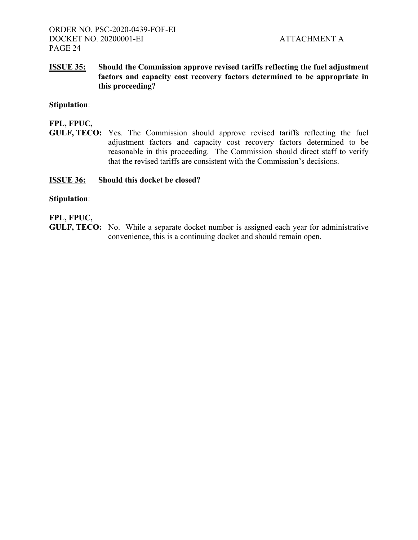# **ISSUE 35: Should the Commission approve revised tariffs reflecting the fuel adjustment factors and capacity cost recovery factors determined to be appropriate in this proceeding?**

# **Stipulation**:

# **FPL, FPUC,**

**GULF, TECO:** Yes. The Commission should approve revised tariffs reflecting the fuel adjustment factors and capacity cost recovery factors determined to be reasonable in this proceeding. The Commission should direct staff to verify that the revised tariffs are consistent with the Commission's decisions.

# **ISSUE 36: Should this docket be closed?**

# **Stipulation**:

# **FPL, FPUC,**

**GULF, TECO:** No. While a separate docket number is assigned each year for administrative convenience, this is a continuing docket and should remain open.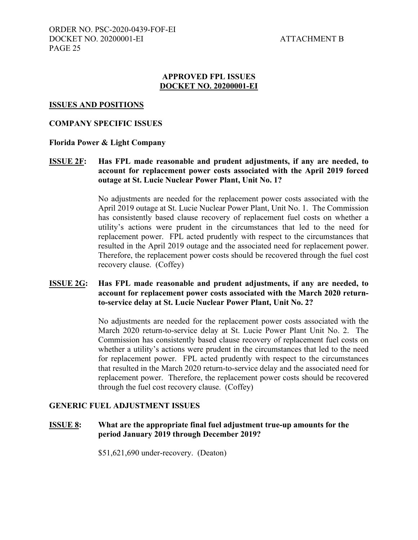# **APPROVED FPL ISSUES DOCKET NO. 20200001-EI**

#### **ISSUES AND POSITIONS**

# **COMPANY SPECIFIC ISSUES**

# **Florida Power & Light Company**

# **ISSUE 2F: Has FPL made reasonable and prudent adjustments, if any are needed, to account for replacement power costs associated with the April 2019 forced outage at St. Lucie Nuclear Power Plant, Unit No. 1?**

No adjustments are needed for the replacement power costs associated with the April 2019 outage at St. Lucie Nuclear Power Plant, Unit No. 1. The Commission has consistently based clause recovery of replacement fuel costs on whether a utility's actions were prudent in the circumstances that led to the need for replacement power. FPL acted prudently with respect to the circumstances that resulted in the April 2019 outage and the associated need for replacement power. Therefore, the replacement power costs should be recovered through the fuel cost recovery clause. (Coffey)

# **ISSUE 2G: Has FPL made reasonable and prudent adjustments, if any are needed, to account for replacement power costs associated with the March 2020 returnto-service delay at St. Lucie Nuclear Power Plant, Unit No. 2?**

 No adjustments are needed for the replacement power costs associated with the March 2020 return-to-service delay at St. Lucie Power Plant Unit No. 2. The Commission has consistently based clause recovery of replacement fuel costs on whether a utility's actions were prudent in the circumstances that led to the need for replacement power. FPL acted prudently with respect to the circumstances that resulted in the March 2020 return-to-service delay and the associated need for replacement power. Therefore, the replacement power costs should be recovered through the fuel cost recovery clause. (Coffey)

#### **GENERIC FUEL ADJUSTMENT ISSUES**

**ISSUE 8: What are the appropriate final fuel adjustment true-up amounts for the period January 2019 through December 2019?** 

\$51,621,690 under-recovery. (Deaton)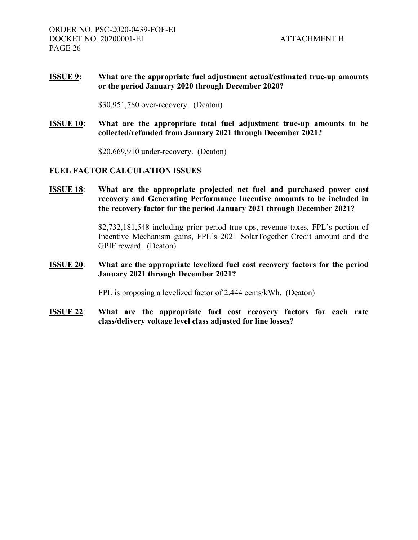# **ISSUE 9: What are the appropriate fuel adjustment actual/estimated true-up amounts or the period January 2020 through December 2020?**

\$30,951,780 over-recovery. (Deaton)

**ISSUE 10: What are the appropriate total fuel adjustment true-up amounts to be collected/refunded from January 2021 through December 2021?** 

\$20,669,910 under-recovery. (Deaton)

# **FUEL FACTOR CALCULATION ISSUES**

**ISSUE 18**: **What are the appropriate projected net fuel and purchased power cost recovery and Generating Performance Incentive amounts to be included in the recovery factor for the period January 2021 through December 2021?** 

> \$2,732,181,548 including prior period true-ups, revenue taxes, FPL's portion of Incentive Mechanism gains, FPL's 2021 SolarTogether Credit amount and the GPIF reward. (Deaton)

# **ISSUE 20**: **What are the appropriate levelized fuel cost recovery factors for the period January 2021 through December 2021?**

FPL is proposing a levelized factor of 2.444 cents/kWh. (Deaton)

**ISSUE 22**: **What are the appropriate fuel cost recovery factors for each rate class/delivery voltage level class adjusted for line losses?**